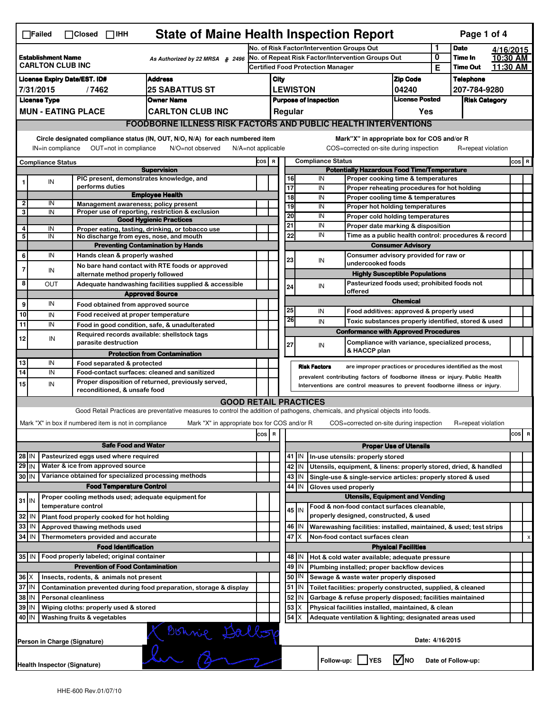| <b>State of Maine Health Inspection Report</b><br>Page 1 of 4<br>$\Box$ Failed<br>$\Box$ Closed $\Box$ IHH                                                                                                                                                                            |            |                                                                                 |                                                                                                                                   |                                                       |                         |                                                                                       |                                                                                                                               |                                                                    |                                                                                                        |                                             |                      |                    |         |           |
|---------------------------------------------------------------------------------------------------------------------------------------------------------------------------------------------------------------------------------------------------------------------------------------|------------|---------------------------------------------------------------------------------|-----------------------------------------------------------------------------------------------------------------------------------|-------------------------------------------------------|-------------------------|---------------------------------------------------------------------------------------|-------------------------------------------------------------------------------------------------------------------------------|--------------------------------------------------------------------|--------------------------------------------------------------------------------------------------------|---------------------------------------------|----------------------|--------------------|---------|-----------|
|                                                                                                                                                                                                                                                                                       |            |                                                                                 |                                                                                                                                   |                                                       |                         | No. of Risk Factor/Intervention Groups Out                                            |                                                                                                                               |                                                                    |                                                                                                        |                                             |                      | <b>Date</b>        |         | 4/16/2015 |
| <b>Establishment Name</b><br>As Authorized by 22 MRSA § 2496                                                                                                                                                                                                                          |            |                                                                                 | No. of Repeat Risk Factor/Intervention Groups Out                                                                                 |                                                       |                         |                                                                                       |                                                                                                                               |                                                                    | 0                                                                                                      | Time In                                     |                      | 10:30 AM           |         |           |
| <b>CARLTON CLUB INC</b>                                                                                                                                                                                                                                                               |            |                                                                                 |                                                                                                                                   |                                                       |                         |                                                                                       |                                                                                                                               | <b>Certified Food Protection Manager</b>                           |                                                                                                        |                                             | Е                    | <b>Time Out</b>    |         | 11:30 AM  |
| <b>Address</b><br><b>License Expiry Date/EST. ID#</b>                                                                                                                                                                                                                                 |            |                                                                                 |                                                                                                                                   |                                                       | City                    |                                                                                       |                                                                                                                               |                                                                    |                                                                                                        | <b>Zip Code</b>                             |                      | <b>Telephone</b>   |         |           |
| 7/31/2015<br>/7462<br><b>25 SABATTUS ST</b>                                                                                                                                                                                                                                           |            |                                                                                 |                                                                                                                                   |                                                       |                         | <b>LEWISTON</b>                                                                       |                                                                                                                               |                                                                    | 04240                                                                                                  |                                             | 207-784-9280         |                    |         |           |
| <b>License Type</b><br><b>Owner Name</b>                                                                                                                                                                                                                                              |            |                                                                                 |                                                                                                                                   | <b>License Posted</b><br><b>Purpose of Inspection</b> |                         |                                                                                       |                                                                                                                               |                                                                    |                                                                                                        |                                             | <b>Risk Category</b> |                    |         |           |
| <b>MUN - EATING PLACE</b><br><b>CARLTON CLUB INC</b>                                                                                                                                                                                                                                  |            |                                                                                 |                                                                                                                                   |                                                       |                         |                                                                                       | Regular                                                                                                                       |                                                                    |                                                                                                        | Yes                                         |                      |                    |         |           |
| <b>FOODBORNE ILLNESS RISK FACTORS AND PUBLIC HEALTH INTERVENTIONS</b>                                                                                                                                                                                                                 |            |                                                                                 |                                                                                                                                   |                                                       |                         |                                                                                       |                                                                                                                               |                                                                    |                                                                                                        |                                             |                      |                    |         |           |
| Circle designated compliance status (IN, OUT, N/O, N/A) for each numbered item<br>Mark"X" in appropriate box for COS and/or R<br>OUT=not in compliance<br>COS=corrected on-site during inspection<br>IN=in compliance<br>N/O=not observed<br>N/A=not applicable<br>R=repeat violation |            |                                                                                 |                                                                                                                                   |                                                       |                         |                                                                                       |                                                                                                                               |                                                                    |                                                                                                        |                                             |                      |                    |         |           |
| <b>Compliance Status</b>                                                                                                                                                                                                                                                              |            |                                                                                 |                                                                                                                                   |                                                       | COS R                   | <b>Compliance Status</b>                                                              |                                                                                                                               |                                                                    |                                                                                                        |                                             |                      |                    | $cos$ R |           |
| <b>Supervision</b>                                                                                                                                                                                                                                                                    |            |                                                                                 |                                                                                                                                   |                                                       |                         | <b>Potentially Hazardous Food Time/Temperature</b>                                    |                                                                                                                               |                                                                    |                                                                                                        |                                             |                      |                    |         |           |
| 1                                                                                                                                                                                                                                                                                     | ${\sf IN}$ | PIC present, demonstrates knowledge, and                                        |                                                                                                                                   |                                                       |                         |                                                                                       | 16<br>IN<br>Proper cooking time & temperatures                                                                                |                                                                    |                                                                                                        |                                             |                      |                    |         |           |
|                                                                                                                                                                                                                                                                                       |            | performs duties                                                                 | <b>Employee Health</b>                                                                                                            |                                                       |                         | 17                                                                                    |                                                                                                                               | IN                                                                 |                                                                                                        | Proper reheating procedures for hot holding |                      |                    |         |           |
| 2                                                                                                                                                                                                                                                                                     | IN         | Management awareness; policy present                                            |                                                                                                                                   |                                                       |                         | $\overline{18}$<br>19                                                                 |                                                                                                                               | IN<br>IN                                                           | Proper cooling time & temperatures<br>Proper hot holding temperatures                                  |                                             |                      |                    |         |           |
| 3                                                                                                                                                                                                                                                                                     | IN         |                                                                                 | Proper use of reporting, restriction & exclusion                                                                                  |                                                       |                         | 20                                                                                    |                                                                                                                               | IN                                                                 |                                                                                                        |                                             |                      |                    |         |           |
|                                                                                                                                                                                                                                                                                       |            |                                                                                 | <b>Good Hygienic Practices</b>                                                                                                    |                                                       |                         | 21                                                                                    |                                                                                                                               | IN                                                                 | Proper cold holding temperatures<br>Proper date marking & disposition                                  |                                             |                      |                    |         |           |
| 4<br>5                                                                                                                                                                                                                                                                                | IN<br>IN   | No discharge from eyes, nose, and mouth                                         | Proper eating, tasting, drinking, or tobacco use                                                                                  |                                                       |                         | 22                                                                                    |                                                                                                                               | IN                                                                 | Time as a public health control: procedures & record                                                   |                                             |                      |                    |         |           |
|                                                                                                                                                                                                                                                                                       |            |                                                                                 | <b>Preventing Contamination by Hands</b>                                                                                          |                                                       |                         |                                                                                       |                                                                                                                               |                                                                    |                                                                                                        | <b>Consumer Advisory</b>                    |                      |                    |         |           |
| 6                                                                                                                                                                                                                                                                                     | IN         | Hands clean & properly washed                                                   |                                                                                                                                   |                                                       |                         |                                                                                       |                                                                                                                               |                                                                    | Consumer advisory provided for raw or                                                                  |                                             |                      |                    |         |           |
|                                                                                                                                                                                                                                                                                       |            |                                                                                 | No bare hand contact with RTE foods or approved                                                                                   |                                                       |                         | 23                                                                                    |                                                                                                                               | IN                                                                 | undercooked foods                                                                                      |                                             |                      |                    |         |           |
| $\overline{7}$                                                                                                                                                                                                                                                                        | IN         | alternate method properly followed                                              |                                                                                                                                   |                                                       |                         |                                                                                       |                                                                                                                               |                                                                    | <b>Highly Susceptible Populations</b>                                                                  |                                             |                      |                    |         |           |
| 8                                                                                                                                                                                                                                                                                     | OUT        |                                                                                 | Adequate handwashing facilities supplied & accessible                                                                             |                                                       |                         | 24                                                                                    |                                                                                                                               | IN                                                                 | Pasteurized foods used; prohibited foods not                                                           |                                             |                      |                    |         |           |
|                                                                                                                                                                                                                                                                                       |            |                                                                                 | <b>Approved Source</b>                                                                                                            |                                                       |                         |                                                                                       |                                                                                                                               |                                                                    | offered                                                                                                |                                             |                      |                    |         |           |
| 9                                                                                                                                                                                                                                                                                     | IN         | Food obtained from approved source                                              |                                                                                                                                   |                                                       |                         |                                                                                       |                                                                                                                               |                                                                    |                                                                                                        | <b>Chemical</b>                             |                      |                    |         |           |
| 10                                                                                                                                                                                                                                                                                    | IN         | Food received at proper temperature                                             |                                                                                                                                   |                                                       |                         | 25                                                                                    |                                                                                                                               | IN                                                                 | Food additives: approved & properly used                                                               |                                             |                      |                    |         |           |
| 11                                                                                                                                                                                                                                                                                    | IN         |                                                                                 | Food in good condition, safe, & unadulterated                                                                                     |                                                       |                         | 26                                                                                    |                                                                                                                               | IN                                                                 | Toxic substances properly identified, stored & used                                                    |                                             |                      |                    |         |           |
| 12                                                                                                                                                                                                                                                                                    | IN         | Required records available: shellstock tags                                     |                                                                                                                                   |                                                       |                         |                                                                                       |                                                                                                                               |                                                                    | <b>Conformance with Approved Procedures</b>                                                            |                                             |                      |                    |         |           |
|                                                                                                                                                                                                                                                                                       |            | parasite destruction                                                            |                                                                                                                                   |                                                       |                         | 27                                                                                    |                                                                                                                               | IN                                                                 | Compliance with variance, specialized process,                                                         |                                             |                      |                    |         |           |
|                                                                                                                                                                                                                                                                                       |            |                                                                                 | <b>Protection from Contamination</b>                                                                                              |                                                       |                         |                                                                                       |                                                                                                                               |                                                                    | & HACCP plan                                                                                           |                                             |                      |                    |         |           |
| 13                                                                                                                                                                                                                                                                                    | IN         | Food separated & protected                                                      |                                                                                                                                   |                                                       |                         |                                                                                       |                                                                                                                               | <b>Risk Factors</b>                                                | are improper practices or procedures identified as the most                                            |                                             |                      |                    |         |           |
| $\overline{14}$                                                                                                                                                                                                                                                                       | IN         |                                                                                 | Food-contact surfaces: cleaned and sanitized                                                                                      |                                                       |                         | prevalent contributing factors of foodborne illness or injury. Public Health          |                                                                                                                               |                                                                    |                                                                                                        |                                             |                      |                    |         |           |
| 15                                                                                                                                                                                                                                                                                    | IN         | reconditioned, & unsafe food                                                    | Proper disposition of returned, previously served,                                                                                |                                                       |                         |                                                                                       |                                                                                                                               |                                                                    | Interventions are control measures to prevent foodborne illness or injury.                             |                                             |                      |                    |         |           |
|                                                                                                                                                                                                                                                                                       |            |                                                                                 | <b>GOOD RETAIL PRACTICES</b>                                                                                                      |                                                       |                         |                                                                                       |                                                                                                                               |                                                                    |                                                                                                        |                                             |                      |                    |         |           |
|                                                                                                                                                                                                                                                                                       |            |                                                                                 | Good Retail Practices are preventative measures to control the addition of pathogens, chemicals, and physical objects into foods. |                                                       |                         |                                                                                       |                                                                                                                               |                                                                    |                                                                                                        |                                             |                      |                    |         |           |
|                                                                                                                                                                                                                                                                                       |            | Mark "X" in box if numbered item is not in compliance                           | Mark "X" in appropriate box for COS and/or R                                                                                      |                                                       |                         |                                                                                       |                                                                                                                               |                                                                    | COS=corrected on-site during inspection                                                                |                                             |                      | R=repeat violation |         |           |
|                                                                                                                                                                                                                                                                                       |            |                                                                                 |                                                                                                                                   |                                                       | $\overline{\mathbf{R}}$ |                                                                                       |                                                                                                                               |                                                                    |                                                                                                        |                                             |                      |                    |         | cos<br>R  |
|                                                                                                                                                                                                                                                                                       |            |                                                                                 |                                                                                                                                   | cos                                                   |                         |                                                                                       |                                                                                                                               |                                                                    |                                                                                                        |                                             |                      |                    |         |           |
|                                                                                                                                                                                                                                                                                       |            | <b>Safe Food and Water</b>                                                      |                                                                                                                                   |                                                       |                         | <b>Proper Use of Utensils</b>                                                         |                                                                                                                               |                                                                    |                                                                                                        |                                             |                      |                    |         |           |
| Pasteurized eggs used where required<br>$28$ IN                                                                                                                                                                                                                                       |            |                                                                                 |                                                                                                                                   |                                                       |                         |                                                                                       | 41 J IN                                                                                                                       |                                                                    | In-use utensils: properly stored                                                                       |                                             |                      |                    |         |           |
| $29$ IN                                                                                                                                                                                                                                                                               |            | Water & ice from approved source                                                |                                                                                                                                   |                                                       |                         |                                                                                       | 42<br>IN                                                                                                                      |                                                                    | Utensils, equipment, & linens: properly stored, dried, & handled                                       |                                             |                      |                    |         |           |
| 30 IN                                                                                                                                                                                                                                                                                 |            | Variance obtained for specialized processing methods                            |                                                                                                                                   |                                                       |                         |                                                                                       | 43   IN                                                                                                                       |                                                                    | Single-use & single-service articles: properly stored & used                                           |                                             |                      |                    |         |           |
|                                                                                                                                                                                                                                                                                       |            | <b>Food Temperature Control</b>                                                 |                                                                                                                                   |                                                       |                         | 44                                                                                    | IN                                                                                                                            | Gloves used properly                                               |                                                                                                        |                                             |                      |                    |         |           |
| $31$ IN                                                                                                                                                                                                                                                                               |            | Proper cooling methods used; adequate equipment for<br>temperature control      |                                                                                                                                   |                                                       |                         | <b>Utensils, Equipment and Vending</b><br>Food & non-food contact surfaces cleanable, |                                                                                                                               |                                                                    |                                                                                                        |                                             |                      |                    |         |           |
|                                                                                                                                                                                                                                                                                       |            |                                                                                 |                                                                                                                                   |                                                       |                         |                                                                                       | $45$ IN                                                                                                                       |                                                                    | properly designed, constructed, & used                                                                 |                                             |                      |                    |         |           |
| 32                                                                                                                                                                                                                                                                                    | IN         | Plant food properly cooked for hot holding                                      |                                                                                                                                   |                                                       |                         |                                                                                       | 46 IN                                                                                                                         |                                                                    |                                                                                                        |                                             |                      |                    |         |           |
| 33<br>IN<br>Approved thawing methods used                                                                                                                                                                                                                                             |            |                                                                                 |                                                                                                                                   |                                                       |                         | 47 I X                                                                                |                                                                                                                               | Warewashing facilities: installed, maintained, & used; test strips |                                                                                                        |                                             |                      |                    |         |           |
| 34                                                                                                                                                                                                                                                                                    | l IN       | Thermometers provided and accurate                                              |                                                                                                                                   |                                                       |                         |                                                                                       |                                                                                                                               |                                                                    | Non-food contact surfaces clean                                                                        |                                             |                      |                    |         |           |
|                                                                                                                                                                                                                                                                                       |            | <b>Food Identification</b><br>35 IN   Food properly labeled; original container |                                                                                                                                   |                                                       |                         |                                                                                       |                                                                                                                               |                                                                    |                                                                                                        | <b>Physical Facilities</b>                  |                      |                    |         |           |
|                                                                                                                                                                                                                                                                                       |            |                                                                                 |                                                                                                                                   |                                                       |                         | 49                                                                                    | 48<br>ΙN                                                                                                                      |                                                                    | Hot & cold water available; adequate pressure                                                          |                                             |                      |                    |         |           |
| <b>Prevention of Food Contamination</b>                                                                                                                                                                                                                                               |            |                                                                                 |                                                                                                                                   |                                                       | 50                      | IN<br>IN                                                                              |                                                                                                                               | Plumbing installed; proper backflow devices                        |                                                                                                        |                                             |                      |                    |         |           |
| $36 \times$<br>Insects, rodents, & animals not present<br>37 IN<br>Contamination prevented during food preparation, storage & display                                                                                                                                                 |            |                                                                                 |                                                                                                                                   |                                                       |                         | 51                                                                                    | IN                                                                                                                            |                                                                    | Sewage & waste water properly disposed<br>Toilet facilities: properly constructed, supplied, & cleaned |                                             |                      |                    |         |           |
| 38<br>IN<br><b>Personal cleanliness</b>                                                                                                                                                                                                                                               |            |                                                                                 |                                                                                                                                   |                                                       | 52                      | ΙN                                                                                    |                                                                                                                               | Garbage & refuse properly disposed; facilities maintained          |                                                                                                        |                                             |                      |                    |         |           |
| 39<br>Wiping cloths: properly used & stored<br>IN                                                                                                                                                                                                                                     |            |                                                                                 |                                                                                                                                   |                                                       | 53                      | х                                                                                     |                                                                                                                               |                                                                    |                                                                                                        |                                             |                      |                    |         |           |
| 40 IN                                                                                                                                                                                                                                                                                 |            | Washing fruits & vegetables                                                     |                                                                                                                                   |                                                       |                         |                                                                                       | Physical facilities installed, maintained, & clean<br>$54$ $\times$<br>Adequate ventilation & lighting; designated areas used |                                                                    |                                                                                                        |                                             |                      |                    |         |           |
|                                                                                                                                                                                                                                                                                       |            |                                                                                 |                                                                                                                                   |                                                       |                         |                                                                                       |                                                                                                                               |                                                                    |                                                                                                        |                                             |                      |                    |         |           |
| X Bonnie Dallop<br>Date: 4/16/2015<br>Person in Charge (Signature)                                                                                                                                                                                                                    |            |                                                                                 |                                                                                                                                   |                                                       |                         |                                                                                       |                                                                                                                               |                                                                    |                                                                                                        |                                             |                      |                    |         |           |
| $\sqrt{ }$ NO<br>Follow-up: YES<br>Date of Follow-up:<br><b>Health Inspector (Signature)</b>                                                                                                                                                                                          |            |                                                                                 |                                                                                                                                   |                                                       |                         |                                                                                       |                                                                                                                               |                                                                    |                                                                                                        |                                             |                      |                    |         |           |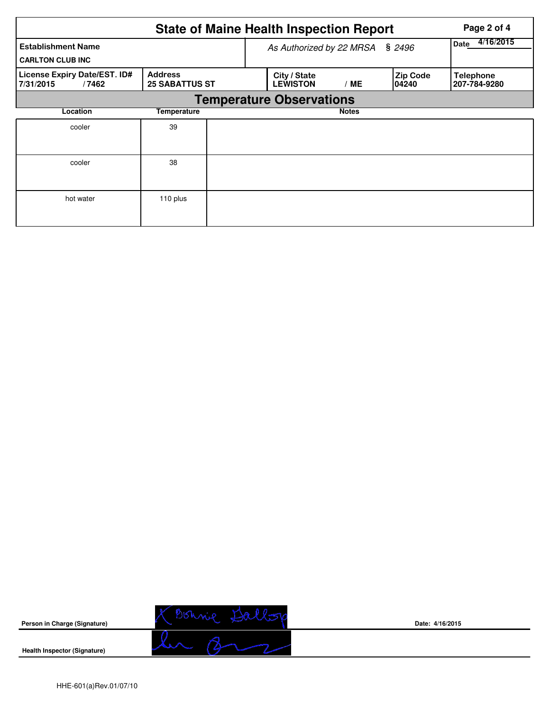|                                                      | <b>State of Maine Health Inspection Report</b> | Page 2 of 4 |                                 |              |                           |                                  |
|------------------------------------------------------|------------------------------------------------|-------------|---------------------------------|--------------|---------------------------|----------------------------------|
| <b>Establishment Name</b><br><b>CARLTON CLUB INC</b> |                                                |             | As Authorized by 22 MRSA § 2496 |              | 4/16/2015<br><b>Date</b>  |                                  |
| License Expiry Date/EST. ID#<br>7/31/2015<br>/7462   | <b>Address</b><br><b>25 SABATTUS ST</b>        |             | City / State<br><b>LEWISTON</b> | / ME         | <b>Zip Code</b><br>104240 | <b>Telephone</b><br>207-784-9280 |
|                                                      |                                                |             | <b>Temperature Observations</b> |              |                           |                                  |
| Location                                             | Temperature                                    |             |                                 | <b>Notes</b> |                           |                                  |
| cooler                                               | 39                                             |             |                                 |              |                           |                                  |
| cooler                                               | 38                                             |             |                                 |              |                           |                                  |
| hot water                                            | 110 plus                                       |             |                                 |              |                           |                                  |



**Date: 4/16/2015**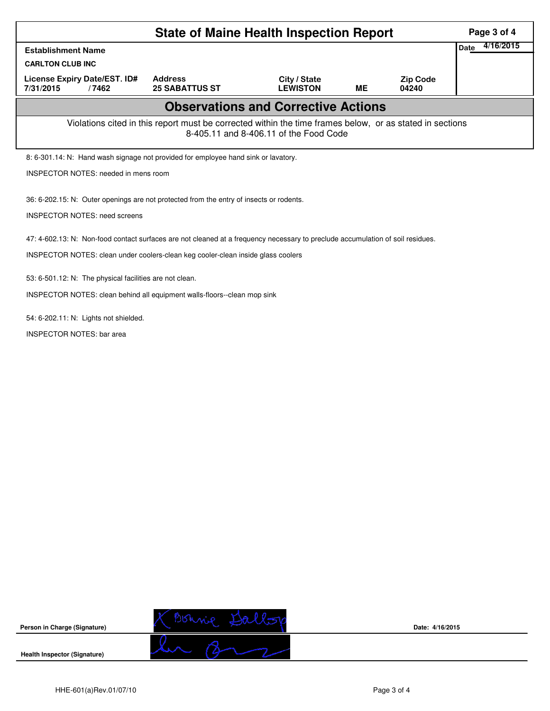|                                                                                                                                                    | Page 3 of 4                             |                                 |           |                          |  |  |  |  |
|----------------------------------------------------------------------------------------------------------------------------------------------------|-----------------------------------------|---------------------------------|-----------|--------------------------|--|--|--|--|
| <b>Establishment Name</b>                                                                                                                          | 4/16/2015<br>Date                       |                                 |           |                          |  |  |  |  |
| <b>CARLTON CLUB INC</b>                                                                                                                            |                                         |                                 |           |                          |  |  |  |  |
| License Expiry Date/EST. ID#<br>7/31/2015<br>/7462                                                                                                 | <b>Address</b><br><b>25 SABATTUS ST</b> | City / State<br><b>LEWISTON</b> | <b>ME</b> | <b>Zip Code</b><br>04240 |  |  |  |  |
| <b>Observations and Corrective Actions</b>                                                                                                         |                                         |                                 |           |                          |  |  |  |  |
| Violations cited in this report must be corrected within the time frames below, or as stated in sections<br>8-405.11 and 8-406.11 of the Food Code |                                         |                                 |           |                          |  |  |  |  |
| 8: 6-301.14: N: Hand wash signage not provided for employee hand sink or lavatory.                                                                 |                                         |                                 |           |                          |  |  |  |  |
| <b>INSPECTOR NOTES: needed in mens room</b>                                                                                                        |                                         |                                 |           |                          |  |  |  |  |
| 36: 6-202.15: N: Outer openings are not protected from the entry of insects or rodents.                                                            |                                         |                                 |           |                          |  |  |  |  |
| <b>INSPECTOR NOTES: need screens</b>                                                                                                               |                                         |                                 |           |                          |  |  |  |  |
| 47: 4-602.13: N: Non-food contact surfaces are not cleaned at a frequency necessary to preclude accumulation of soil residues.                     |                                         |                                 |           |                          |  |  |  |  |
| INSPECTOR NOTES: clean under coolers-clean keg cooler-clean inside glass coolers                                                                   |                                         |                                 |           |                          |  |  |  |  |
| 53: 6-501.12: N: The physical facilities are not clean.                                                                                            |                                         |                                 |           |                          |  |  |  |  |
| INSPECTOR NOTES: clean behind all equipment walls-floors--clean mop sink                                                                           |                                         |                                 |           |                          |  |  |  |  |
| 54: 6-202.11: N: Lights not shielded.                                                                                                              |                                         |                                 |           |                          |  |  |  |  |
| <b>INSPECTOR NOTES: bar area</b>                                                                                                                   |                                         |                                 |           |                          |  |  |  |  |
|                                                                                                                                                    |                                         |                                 |           |                          |  |  |  |  |